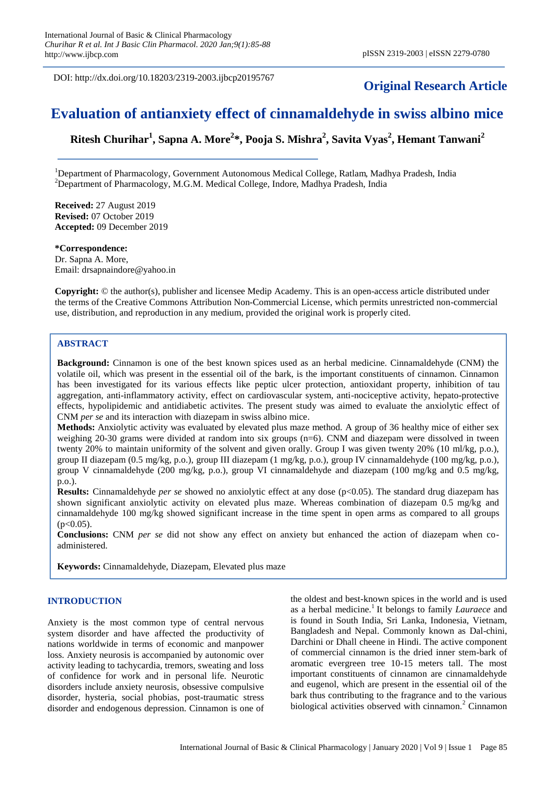DOI: http://dx.doi.org/10.18203/2319-2003.ijbcp20195767

## **Original Research Article**

# **Evaluation of antianxiety effect of cinnamaldehyde in swiss albino mice**

**Ritesh Churihar<sup>1</sup> , Sapna A. More<sup>2</sup> \*, Pooja S. Mishra<sup>2</sup> , Savita Vyas<sup>2</sup> , Hemant Tanwani<sup>2</sup>**

<sup>1</sup>Department of Pharmacology, Government Autonomous Medical College, Ratlam, Madhya Pradesh, India <sup>2</sup>Department of Pharmacology, M.G.M. Medical College, Indore, Madhya Pradesh, India

**Received:** 27 August 2019 **Revised:** 07 October 2019 **Accepted:** 09 December 2019

**\*Correspondence:** Dr. Sapna A. More, Email: drsapnaindore@yahoo.in

**Copyright:** © the author(s), publisher and licensee Medip Academy. This is an open-access article distributed under the terms of the Creative Commons Attribution Non-Commercial License, which permits unrestricted non-commercial use, distribution, and reproduction in any medium, provided the original work is properly cited.

### **ABSTRACT**

**Background:** Cinnamon is one of the best known spices used as an herbal medicine. Cinnamaldehyde (CNM) the volatile oil, which was present in the essential oil of the bark, is the important constituents of cinnamon. Cinnamon has been investigated for its various effects like peptic ulcer protection, antioxidant property, inhibition of tau aggregation, anti-inflammatory activity, effect on cardiovascular system, anti-nociceptive activity, hepato-protective effects, hypolipidemic and antidiabetic activites. The present study was aimed to evaluate the anxiolytic effect of CNM *per se* and its interaction with diazepam in swiss albino mice.

**Methods:** Anxiolytic activity was evaluated by elevated plus maze method. A group of 36 healthy mice of either sex weighing 20-30 grams were divided at random into six groups (n=6). CNM and diazepam were dissolved in tween twenty 20% to maintain uniformity of the solvent and given orally. Group I was given twenty 20% (10 ml/kg, p.o.), group II diazepam (0.5 mg/kg, p.o.), group III diazepam (1 mg/kg, p.o.), group IV cinnamaldehyde (100 mg/kg, p.o.), group V cinnamaldehyde (200 mg/kg, p.o.), group VI cinnamaldehyde and diazepam (100 mg/kg and 0.5 mg/kg, p.o.).

**Results:** Cinnamaldehyde *per se* showed no anxiolytic effect at any dose (p<0.05). The standard drug diazepam has shown significant anxiolytic activity on elevated plus maze. Whereas combination of diazepam 0.5 mg/kg and cinnamaldehyde 100 mg/kg showed significant increase in the time spent in open arms as compared to all groups  $(p<0.05)$ .

**Conclusions:** CNM *per se* did not show any effect on anxiety but enhanced the action of diazepam when coadministered.

**Keywords:** Cinnamaldehyde, Diazepam, Elevated plus maze

## **INTRODUCTION**

Anxiety is the most common type of central nervous system disorder and have affected the productivity of nations worldwide in terms of economic and manpower loss. Anxiety neurosis is accompanied by autonomic over activity leading to tachycardia, tremors, sweating and loss of confidence for work and in personal life. Neurotic disorders include anxiety neurosis, obsessive compulsive disorder, hysteria, social phobias, post-traumatic stress disorder and endogenous depression. Cinnamon is one of the oldest and best-known spices in the world and is used as a herbal medicine.<sup>1</sup> It belongs to family *Lauraece* and is found in South India, Sri Lanka, Indonesia, Vietnam, Bangladesh and Nepal. Commonly known as Dal-chini, Darchini or Dhall cheene in Hindi. The active component of commercial cinnamon is the dried inner stem-bark of aromatic evergreen tree 10-15 meters tall. The most important constituents of cinnamon are cinnamaldehyde and eugenol, which are present in the essential oil of the bark thus contributing to the fragrance and to the various biological activities observed with cinnamon.<sup>2</sup> Cinnamon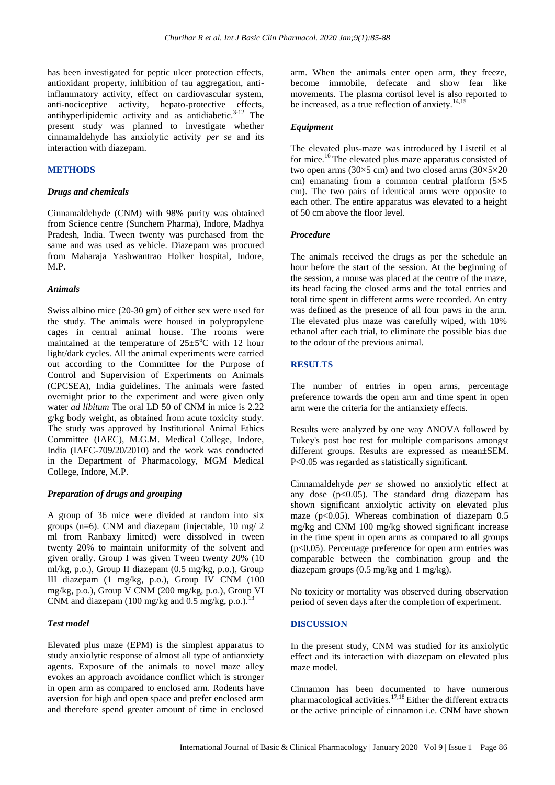has been investigated for peptic ulcer protection effects, antioxidant property, inhibition of tau aggregation, antiinflammatory activity, effect on cardiovascular system, anti-nociceptive activity, hepato-protective effects, antihyperlipidemic activity and as antidiabetic. $3-12$  The present study was planned to investigate whether cinnamaldehyde has anxiolytic activity *per se* and its interaction with diazepam.

#### **METHODS**

#### *Drugs and chemicals*

Cinnamaldehyde (CNM) with 98% purity was obtained from Science centre (Sunchem Pharma), Indore, Madhya Pradesh, India. Tween twenty was purchased from the same and was used as vehicle. Diazepam was procured from Maharaja Yashwantrao Holker hospital, Indore, M.P.

#### *Animals*

Swiss albino mice (20-30 gm) of either sex were used for the study. The animals were housed in polypropylene cages in central animal house. The rooms were maintained at the temperature of  $25 \pm 5^{\circ}$ C with 12 hour light/dark cycles. All the animal experiments were carried out according to the Committee for the Purpose of Control and Supervision of Experiments on Animals (CPCSEA), India guidelines. The animals were fasted overnight prior to the experiment and were given only water *ad libitum* The oral LD 50 of CNM in mice is 2.22 g/kg body weight, as obtained from acute toxicity study. The study was approved by Institutional Animal Ethics Committee (IAEC), M.G.M. Medical College, Indore, India (IAEC-709/20/2010) and the work was conducted in the Department of Pharmacology, MGM Medical College, Indore, M.P.

#### *Preparation of drugs and grouping*

A group of 36 mice were divided at random into six groups (n=6). CNM and diazepam (injectable, 10 mg/ 2 ml from Ranbaxy limited) were dissolved in tween twenty 20% to maintain uniformity of the solvent and given orally. Group I was given Tween twenty 20% (10 ml/kg, p.o.), Group II diazepam (0.5 mg/kg, p.o.), Group III diazepam (1 mg/kg, p.o.), Group IV CNM (100 mg/kg, p.o.), Group V CNM (200 mg/kg, p.o.), Group VI CNM and diazepam (100 mg/kg and 0.5 mg/kg, p.o.).<sup>13</sup>

#### *Test model*

Elevated plus maze (EPM) is the simplest apparatus to study anxiolytic response of almost all type of antianxiety agents. Exposure of the animals to novel maze alley evokes an approach avoidance conflict which is stronger in open arm as compared to enclosed arm. Rodents have aversion for high and open space and prefer enclosed arm and therefore spend greater amount of time in enclosed arm. When the animals enter open arm, they freeze, become immobile, defecate and show fear like movements. The plasma cortisol level is also reported to be increased, as a true reflection of anxiety.<sup>14,15</sup>

#### *Equipment*

The elevated plus-maze was introduced by Listetil et al for mice.<sup>16</sup> The elevated plus maze apparatus consisted of two open arms (30 $\times$ 5 cm) and two closed arms (30 $\times$ 5 $\times$ 20 cm) emanating from a common central platform  $(5\times5)$ cm). The two pairs of identical arms were opposite to each other. The entire apparatus was elevated to a height of 50 cm above the floor level.

#### *Procedure*

The animals received the drugs as per the schedule an hour before the start of the session. At the beginning of the session, a mouse was placed at the centre of the maze, its head facing the closed arms and the total entries and total time spent in different arms were recorded. An entry was defined as the presence of all four paws in the arm. The elevated plus maze was carefully wiped, with 10% ethanol after each trial, to eliminate the possible bias due to the odour of the previous animal.

## **RESULTS**

The number of entries in open arms, percentage preference towards the open arm and time spent in open arm were the criteria for the antianxiety effects.

Results were analyzed by one way ANOVA followed by Tukey's post hoc test for multiple comparisons amongst different groups. Results are expressed as mean±SEM. P<0.05 was regarded as statistically significant.

Cinnamaldehyde *per se* showed no anxiolytic effect at any dose  $(p<0.05)$ . The standard drug diazepam has shown significant anxiolytic activity on elevated plus maze ( $p<0.05$ ). Whereas combination of diazepam 0.5 mg/kg and CNM 100 mg/kg showed significant increase in the time spent in open arms as compared to all groups  $(p<0.05)$ . Percentage preference for open arm entries was comparable between the combination group and the diazepam groups (0.5 mg/kg and 1 mg/kg).

No toxicity or mortality was observed during observation period of seven days after the completion of experiment.

#### **DISCUSSION**

In the present study, CNM was studied for its anxiolytic effect and its interaction with diazepam on elevated plus maze model.

Cinnamon has been documented to have numerous pharmacological activities.<sup>17,18</sup> Either the different extracts or the active principle of cinnamon i.e. CNM have shown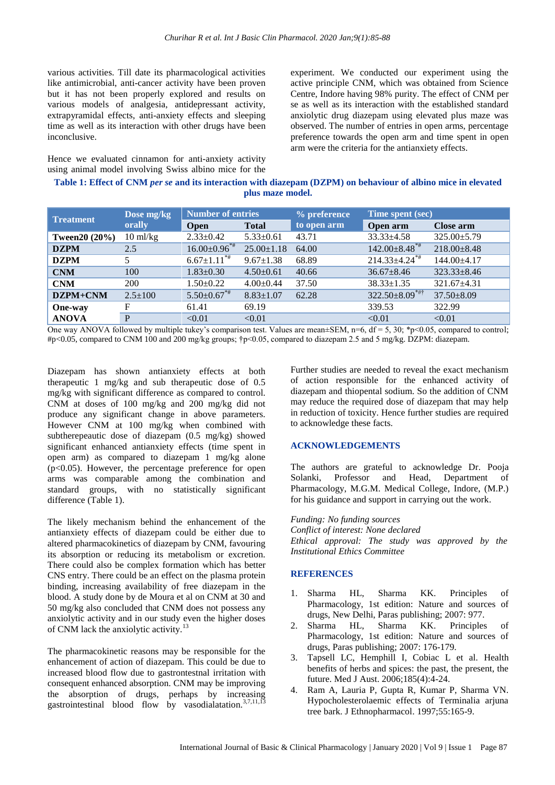various activities. Till date its pharmacological activities like antimicrobial, anti-cancer activity have been proven but it has not been properly explored and results on various models of analgesia, antidepressant activity, extrapyramidal effects, anti-anxiety effects and sleeping time as well as its interaction with other drugs have been inconclusive.

Hence we evaluated cinnamon for anti-anxiety activity using animal model involving Swiss albino mice for the

experiment. We conducted our experiment using the active principle CNM, which was obtained from Science Centre, Indore having 98% purity. The effect of CNM per se as well as its interaction with the established standard anxiolytic drug diazepam using elevated plus maze was observed. The number of entries in open arms, percentage preference towards the open arm and time spent in open arm were the criteria for the antianxiety effects.

| Table 1: Effect of CNM per se and its interaction with diazepam (DZPM) on behaviour of albino mice in elevated |
|----------------------------------------------------------------------------------------------------------------|
| plus maze model.                                                                                               |

| <b>Treatment</b> | Dose mg/kg<br>orally | <b>Number of entries</b>      |                  | % preference | Time spent (sec)                |                   |
|------------------|----------------------|-------------------------------|------------------|--------------|---------------------------------|-------------------|
|                  |                      | <b>Open</b>                   | <b>Total</b>     | to open arm  | Open arm                        | Close arm         |
| Tween $20(20\%)$ | $10 \text{ ml/kg}$   | $2.33 \pm 0.42$               | $5.33 \pm 0.61$  | 43.71        | $33.33 \pm 4.58$                | $325.00 \pm 5.79$ |
| <b>DZPM</b>      | 2.5                  | $16.00 \pm 0.96$ **           | $25.00 \pm 1.18$ | 64.00        | $142.00\pm8.48$ <sup>*#</sup>   | $218.00 \pm 8.48$ |
| <b>DZPM</b>      |                      | $6.67 \pm 1.11$ <sup>*#</sup> | $9.67 \pm 1.38$  | 68.89        | $214.33 \pm 4.24$ <sup>**</sup> | 144.00±4.17       |
| <b>CNM</b>       | 100                  | $1.83 \pm 0.30$               | $4.50 \pm 0.61$  | 40.66        | $36.67 \pm 8.46$                | $323.33 \pm 8.46$ |
| <b>CNM</b>       | 200                  | $1.50 \pm 0.22$               | $4.00 \pm 0.44$  | 37.50        | $38.33 \pm 1.35$                | $321.67 \pm 4.31$ |
| DZPM+CNM         | $2.5 \pm 100$        | $5.50 \pm 0.67$ **            | $8.83 \pm 1.07$  | 62.28        | $322.50\pm8.09^{***}$           | $37.50 \pm 8.09$  |
| <b>One-way</b>   | F                    | 61.41                         | 69.19            |              | 339.53                          | 322.99            |
| <b>ANOVA</b>     | P                    | < 0.01                        | < 0.01           |              | < 0.01                          | < 0.01            |

One way ANOVA followed by multiple tukey's comparison test. Values are mean $\pm$ SEM, n=6, df = 5, 30; \*p<0.05, compared to control; #p<0.05, compared to CNM 100 and 200 mg/kg groups; †p<0.05, compared to diazepam 2.5 and 5 mg/kg. DZPM: diazepam.

Diazepam has shown antianxiety effects at both therapeutic 1 mg/kg and sub therapeutic dose of 0.5 mg/kg with significant difference as compared to control. CNM at doses of 100 mg/kg and 200 mg/kg did not produce any significant change in above parameters. However CNM at 100 mg/kg when combined with subtherepeautic dose of diazepam (0.5 mg/kg) showed significant enhanced antianxiety effects (time spent in open arm) as compared to diazepam 1 mg/kg alone  $(p<0.05)$ . However, the percentage preference for open arms was comparable among the combination and standard groups, with no statistically significant difference (Table 1).

The likely mechanism behind the enhancement of the antianxiety effects of diazepam could be either due to altered pharmacokinetics of diazepam by CNM, favouring its absorption or reducing its metabolism or excretion. There could also be complex formation which has better CNS entry. There could be an effect on the plasma protein binding, increasing availability of free diazepam in the blood. A study done by de Moura et al on CNM at 30 and 50 mg/kg also concluded that CNM does not possess any anxiolytic activity and in our study even the higher doses of CNM lack the anxiolytic activity.<sup>13</sup>

The pharmacokinetic reasons may be responsible for the enhancement of action of diazepam. This could be due to increased blood flow due to gastrontestnal irritation with consequent enhanced absorption. CNM may be improving the absorption of drugs, perhaps by increasing gastrointestinal blood flow by vasodialatation. $3,7,11,13$ 

Further studies are needed to reveal the exact mechanism of action responsible for the enhanced activity of diazepam and thiopental sodium. So the addition of CNM may reduce the required dose of diazepam that may help in reduction of toxicity. Hence further studies are required to acknowledge these facts.

## **ACKNOWLEDGEMENTS**

The authors are grateful to acknowledge Dr. Pooja Solanki, Professor and Head, Department of Pharmacology, M.G.M. Medical College, Indore, (M.P.) for his guidance and support in carrying out the work.

*Funding: No funding sources Conflict of interest: None declared Ethical approval: The study was approved by the Institutional Ethics Committee*

#### **REFERENCES**

- 1. Sharma HL, Sharma KK. Principles of Pharmacology, 1st edition: Nature and sources of drugs, New Delhi, Paras publishing; 2007: 977.
- 2. Sharma HL, Sharma KK. Principles of Pharmacology, 1st edition: Nature and sources of drugs, Paras publishing; 2007: 176-179.
- 3. Tapsell LC, Hemphill I, Cobiac L et al. Health benefits of herbs and spices: the past, the present, the future. Med J Aust. 2006;185(4):4-24.
- 4. Ram A, Lauria P, Gupta R, Kumar P, Sharma VN. Hypocholesterolaemic effects of Terminalia arjuna tree bark. J Ethnopharmacol. 1997;55:165-9.